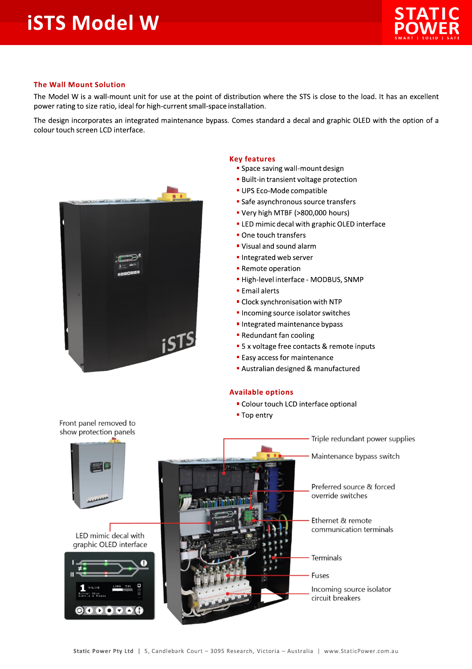

## **The Wall Mount Solution**

The Model W is a wall-mount unit for use at the point of distribution where the STS is close to the load. It has an excellent power rating to size ratio, ideal for high-current small-space installation.

The design incorporates an integrated maintenance bypass. Comes standard a decal and graphic OLED with the option of a colour touch screen LCD interface.



## **Key features**

- " Space saving wall-mount design
- **Built-in transient voltage protection**
- UPS Eco-Mode compatible
- Safe asynchronous source transfers
- " Very high MTBF (>800,000 hours)
- " LED mimic decal with graphic OLED interface
- One touch transfers
- " Visual and sound alarm
- Integrated web server
- **Remote operation**
- · High-level interface MODBUS, SNMP
- **Email alerts**
- Clock synchronisation with NTP
- Incoming source isolator switches
- Integrated maintenance bypass
- Redundant fan cooling
- 5 x voltage free contacts & remote inputs
- **Easy access for maintenance**
- Australian designed & manufactured

## **Available options**

- " Colour touch LCD interface optional
- Top entry